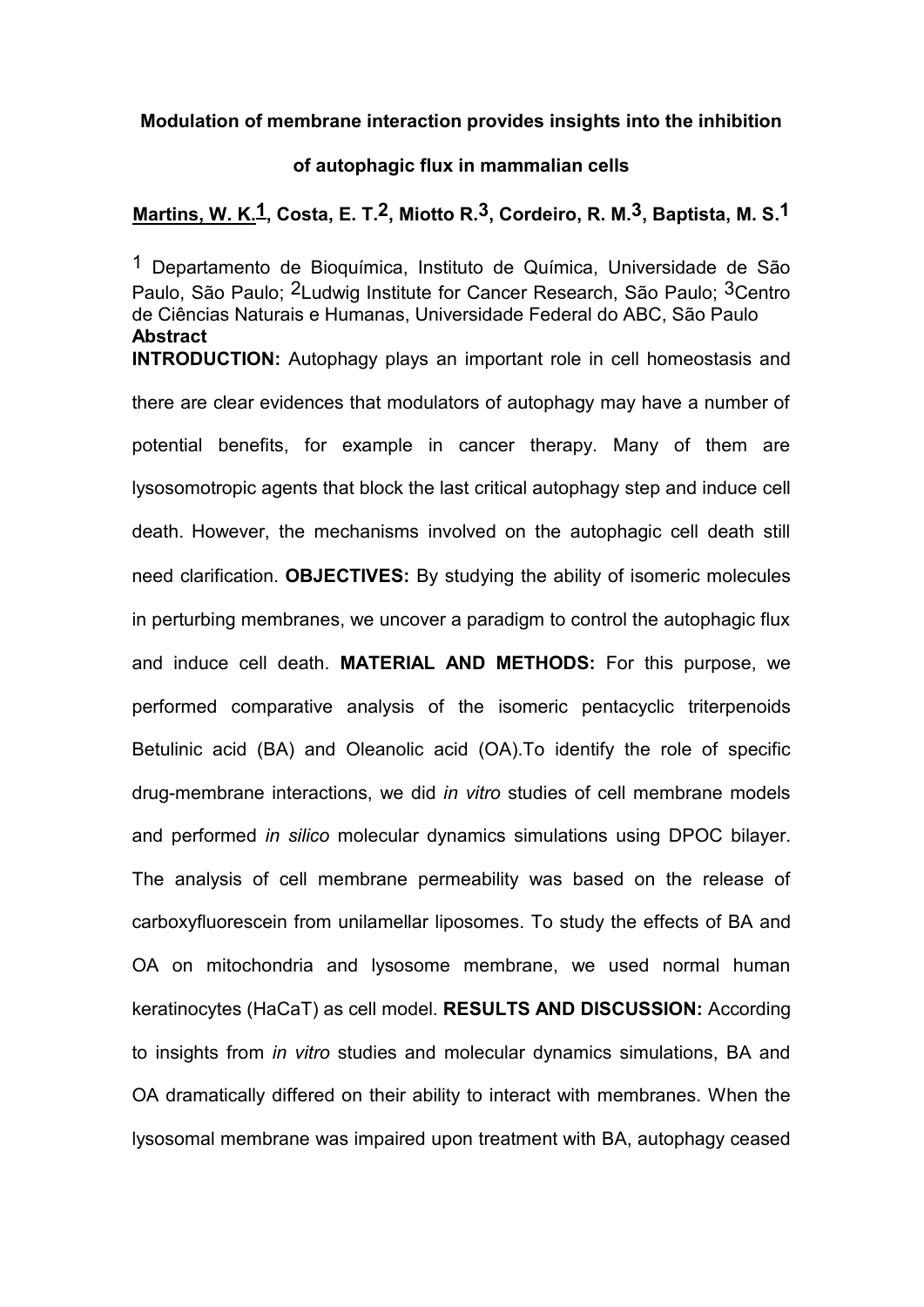**Modulation of membrane interaction provides insights into the inhibition**

## **of autophagic flux in mammalian cells**

## **Martins, W. K.1, Costa, E. T.2, Miotto R.3, Cordeiro, R. M.3, Baptista, M. S.1**

1 Departamento de Bioquímica, Instituto de Química, Universidade de São Paulo, São Paulo; <sup>2</sup>Ludwig Institute for Cancer Research, São Paulo; <sup>3</sup>Centro de Ciências Naturais e Humanas, Universidade Federal do ABC, São Paulo **Abstract**

**INTRODUCTION:** Autophagy plays an important role in cell homeostasis and there are clear evidences that modulators of autophagy may have a number of potential benefits, for example in cancer therapy. Many of them are lysosomotropic agents that block the last critical autophagy step and induce cell death. However, the mechanisms involved on the autophagic cell death still need clarification. **OBJECTIVES:** By studying the ability of isomeric molecules in perturbing membranes, we uncover a paradigm to control the autophagic flux and induce cell death. **MATERIAL AND METHODS:** For this purpose, we performed comparative analysis of the isomeric pentacyclic triterpenoids Betulinic acid (BA) and Oleanolic acid (OA).To identify the role of specific drug-membrane interactions, we did *in vitro* studies of cell membrane models and performed *in silico* molecular dynamics simulations using DPOC bilayer. The analysis of cell membrane permeability was based on the release of carboxyfluorescein from unilamellar liposomes. To study the effects of BA and OA on mitochondria and lysosome membrane, we used normal human keratinocytes (HaCaT) as cell model. **RESULTS AND DISCUSSION:** According to insights from *in vitro* studies and molecular dynamics simulations, BA and OA dramatically differed on their ability to interact with membranes. When the lysosomal membrane was impaired upon treatment with BA, autophagy ceased